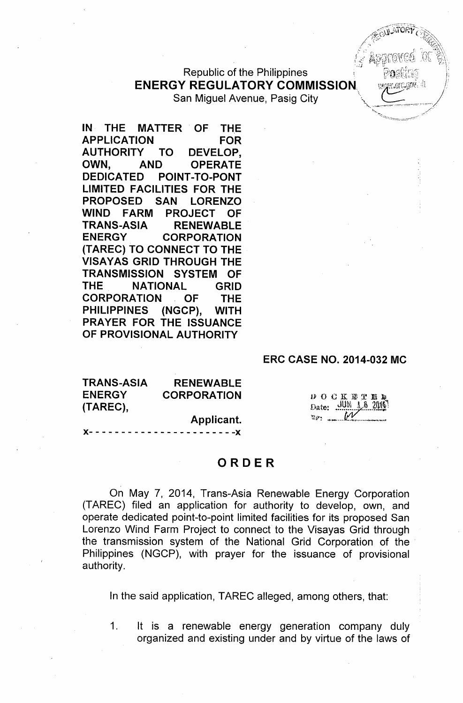Republic of the Philippines **ENERGY REGULATORY COMMISSION.** San Miguel Avenue, Pasig City

IN THE MATTER OF THE APPLICATION FOR AUTHORITY TO DEVELOP, OWN, AND OPERATE DEDICATED POINT-TO-PONT LIMITED FACILITIES FOR THE PROPOSED SAN LORENZO WIND FARM PROJECT OF TRANS-ASIA RENEWABLE ENERGY CORPORATION (TAREC) TO CONNECT TO THE VISAYAS GRID THROUGH THE TRANSMISSION SYSTEM OF THE NATIONAL GRID CORPORATION OF THE PHILIPPINES (NGCP), WITH PRAYER FOR THE ISSUANCE OF PROVISIONAL AUTHORITY

#### ERC CASE NO. 2014-032 MC

| <b>TRANS-ASIA</b> | <b>RENEWABLE</b>   |
|-------------------|--------------------|
| <b>ENERGY</b>     | <b>CORPORATION</b> |
| (TAREC),          |                    |

Applicant.

)(- - - - - - - - - - - - - - - - - - - - - - -)(

**DOCKETED** Date: JUN 16 2016

### ORDER

On May 7, 2014, Trans-Asia Renewable Energy Corporation (TAREC) filed an application for authority to develop, own, and operate dedicated point-to-point limited facilities for its proposed San Lorenzo Wind Farm Project to connect to the Visayas Grid through the transmission system of the National Grid Corporation of the . Philippines (NGCP), with prayer for the issuance of provisional authority.

In the said application, TAREC alleged, among others, that:

1. It is a renewable energy generation company duly organized and existing under and by virtue of the laws of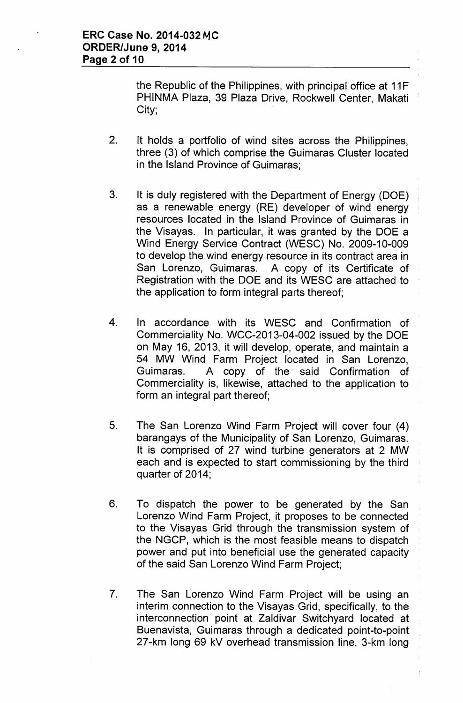the Republic of the Philippines, with principal office at 11F PHINMA Plaza, 39 Plaza Drive, Rockwell Center, Makati City;

- 2. It holds a portfolio of wind sites across the Philippines, three (3) of which comprise the Guimaras Cluster located in the Island Province of Guimaras;
- 3. It is duly registered with the Department of Energy (DOE) as a renewable energy (RE) developer of wind energy resources located in the Island Province of Guimaras in the Visayas. In particular, it was granted by the DOE a Wind Energy Service Contract (WESC) No. 2009-10-009 to develop the wind energy resource in its contract area in San Lorenzo, Guimaras. A copy of its Certificate of Registration with the DOE and its WESC are attached to the application to form integral parts thereof;
- 4. In accordance with its WESC and Confirmation of Commerciality No. WCC-2013-04-002 issued by the DOE on May 16, 2013, it will develop, operate, and maintain a 54 MW Wind Farm Project located in San Lorenzo, Guimaras. A copy of the said Confirmation of Commerciality is, likewise, attached to the application to form an integral part thereof;
- 5. The San Lorenzo Wind Farm Project will cover four (4) barangays of the Municipality of San Lorenzo, Guimaras. It is comprised of 27 wind turbine generators at 2 MW each and is expected to start commissioning by the third quarter of 2014;
- 6. To dispatch the power to be generated by the San Lorenzo Wind Farm Project, it proposes to be connected to the Visayas Grid through the transmission system of the NGCP, which is the most feasible means to dispatch power and put into beneficial use the generated capacity of the said San Lorenzo Wind Farm Project;
- 7. The San Lorenzo Wind Farm Project will be using an interim connection to the Visayas Grid, specifically, to the interconnection point at Zaldivar Switchyard located at Buenavista, Guimaras through a dedicated point-to-point 27-km long 69 kV overhead transmission line, 3-km long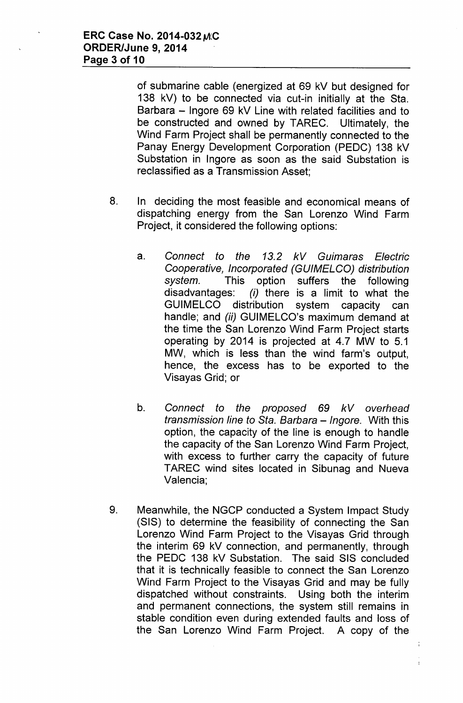of submarine cable (energized at 69 kV but designed for 138 kV) to be connected via cut-in initially at the Sta. Barbara - Ingore 69 kV Line with related facilities and to be constructed and owned by TAREC. Ultimately, the Wind Farm Project shall be permanently connected to the Panay Energy Development Corporation (PEDC) 138 kV Substation in Ingore as soon as the said Substation is reclassified as a Transmission Asset;

- 8. In deciding the most feasible and economical means of dispatching energy from the San Lorenzo Wind Farm Project, it considered the following options:
	- a. *Connect to the* 13.2 *kV Guimaras Electric Cooperative, Incorporated (GUIMELCO) distribution system.* This option suffers the following disadvantages: *(i)* there is a limit to what the GUIMELCO distribution system capacity can handle; and *(ii)* GUIMELCO's maximum demand at the time the San Lorenzo Wind Farm Project starts operating by 2014 is projected at 4.7 MW to 5.1 MW, which is less than the wind farm's output, hence, the excess has to be exported to the Visayas Grid; or
	- b. *Connect to the proposed* 69 *kV overhead transmission line to Sta. Barbara -Ingore.* With this option, the capacity of the line is enough to handle the capacity of the San Lorenzo Wind Farm Project, with excess to further carry the capacity of future TAREC wind sites located in Sibunag and Nueva Valencia;
- 9. Meanwhile, the NGCP conducted a System Impact Study (SIS) to determine the feasibility of connecting the San Lorenzo Wind Farm Project to the Visayas Grid through the interim 69 kV connection, and permanently, through the PEDC 138 kV Substation. The said SIS concluded that it is technically feasible to connect the San Lorenzo Wind Farm Project to the Visayas Grid and may be fully dispatched without constraints. Using both the interim and permanent connections, the system still remains in stable condition even during extended faults and loss of the San Lorenzo Wind Farm Project. A copy of the

 $\frac{1}{4}$ 

 $\mathbf{I}$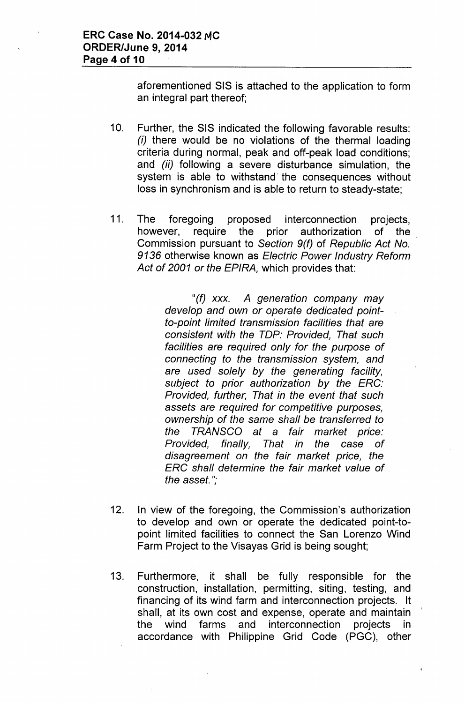aforementioned SIS is attached to the application to form an integral part thereof;

- 10. Further, the SIS indicated the following favorable results: *(i)* there would be no violations of the thermal loading criteria during normal, peak and off-peak load conditions; and *(ii)* following a severe disturbance simulation, the system is able to withstand' the consequences without loss in synchronism and is able to return to steady-state;
- 11. The foregoing proposed interconnection projects, however, require the prior authorization of the Commission pursuant to *Section 9(f)* of *Republic Act No.* 9136 otherwise known as *Electric Power Industry Reform Act* of *2001* or *the EPIRA,* which provides that:

*"(f) xxx. A generation company may develop and own* or *operate dedicated pointto-point limited transmission facilities that are consistent with the TOP: Provided, That such facilities are required only for the purpose* of *connecting to the transmission system, and are used solely by the generating facility, subject to prior authorization by the ERG: Provided, further, That in the event that such assets are required for competitive purposes, ownership* of *the same shall be transferred to the TRANSGO at* a *fair market price: Provided, finally, That in the case* of *disagreement on the fair market price, the ERG shall determine the fair market value* of *the asset. ";*

- 12. In view of the foregoing, the Commission's authorization to develop and own or operate the dedicated point-topoint limited facilities to connect the San Lorenzo Wind Farm Project to the Visayas Grid is being sought;
- 13. Furthermore, it shall be fully responsible for the construction, installation, permitting, siting, testing, and financing of its wind farm and interconnection projects. It shall, at its own cost and expense, operate and maintain ' the wind farms and interconnection projects in accordance with Philippine Grid Code (PGC), other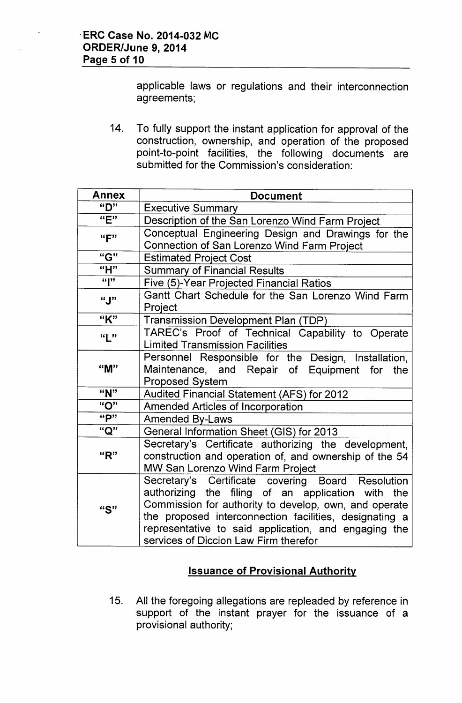applicable laws or regulations and their interconnection agreements;

14. To fully support the instant application for approval of the construction, ownership, and operation of the proposed point-to-point facilities, the following documents are submitted for the Commission's consideration:

| Annex       | <b>Document</b>                                                                                                                                                                                                                                                                                                            |  |
|-------------|----------------------------------------------------------------------------------------------------------------------------------------------------------------------------------------------------------------------------------------------------------------------------------------------------------------------------|--|
| "D"         | <b>Executive Summary</b>                                                                                                                                                                                                                                                                                                   |  |
| "E"         | Description of the San Lorenzo Wind Farm Project                                                                                                                                                                                                                                                                           |  |
| ``F"        | Conceptual Engineering Design and Drawings for the<br>Connection of San Lorenzo Wind Farm Project                                                                                                                                                                                                                          |  |
| "G"         | <b>Estimated Project Cost</b>                                                                                                                                                                                                                                                                                              |  |
| "H"         | <b>Summary of Financial Results</b>                                                                                                                                                                                                                                                                                        |  |
| $a_{\rm b}$ | Five (5)-Year Projected Financial Ratios                                                                                                                                                                                                                                                                                   |  |
| "J"         | Gantt Chart Schedule for the San Lorenzo Wind Farm<br>Project                                                                                                                                                                                                                                                              |  |
| "K"         | <b>Transmission Development Plan (TDP)</b>                                                                                                                                                                                                                                                                                 |  |
| ``L"        | TAREC's Proof of Technical Capability to Operate<br><b>Limited Transmission Facilities</b>                                                                                                                                                                                                                                 |  |
| "M"         | Personnel Responsible for the Design, Installation,<br>Maintenance, and Repair of Equipment for<br>the<br><b>Proposed System</b>                                                                                                                                                                                           |  |
| "N"         | Audited Financial Statement (AFS) for 2012                                                                                                                                                                                                                                                                                 |  |
| "O"         | <b>Amended Articles of Incorporation</b>                                                                                                                                                                                                                                                                                   |  |
| "P"         | <b>Amended By-Laws</b>                                                                                                                                                                                                                                                                                                     |  |
| "Q"         | General Information Sheet (GIS) for 2013                                                                                                                                                                                                                                                                                   |  |
| "R"         | Secretary's Certificate authorizing the development,<br>construction and operation of, and ownership of the 54<br>MW San Lorenzo Wind Farm Project                                                                                                                                                                         |  |
| "S"         | Secretary's Certificate covering Board Resolution<br>authorizing the filing of an application with the<br>Commission for authority to develop, own, and operate<br>the proposed interconnection facilities, designating a<br>representative to said application, and engaging the<br>services of Diccion Law Firm therefor |  |

# **Issuance of Provisional Authority**

15. All the foregoing allegations are repleaded by reference in support of the instant prayer for the issuance of a provisional authority;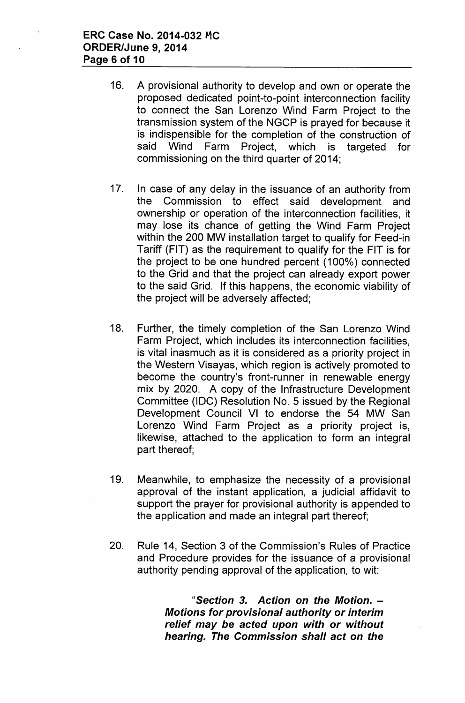- 16. A provisional authority to develop and own or operate the proposed dedicated point-to-point interconnection facility to connect the San Lorenzo Wind Farm Project to the transmission system of the NGCP is prayed for because it is indispensible for the completion of the construction of said Wind Farm Project, which is targeted for commissioning on the third quarter of 2014;
- 17. In case of any delay in the issuance of an authority from the Commission to effect said development and ownership or operation of the interconnection facilities, it may lose its chance of getting the Wind Farm Project within the 200 MW installation target to qualify for Feed-in Tariff (FIT) as the requirement to qualify for the FIT is for the project to be one hundred percent (100%) connected to the Grid and that the project can already export power to the said Grid. If this happens, the economic viability of the project will be adversely affected;
- 18. Further, the timely completion of the San Lorenzo Wind Farm Project, which includes its interconnection facilities, is vital inasmuch as it is considered as a priority project in the Western Visayas, which region is actively promoted to become the country's front-runner in renewable energy mix by 2020. A copy of the Infrastructure Development Committee (IDC) Resolution No. 5 issued by the Regional Development Council VI to endorse the 54 MW San Lorenzo Wind Farm Project as a priority project is, likewise, attached to the application to form an integral part thereof;
- 19. Meanwhile, to emphasize the necessity of a provisional approval of the instant application, a judicial affidavit to support the prayer for provisional authority is appended to the application and made an integral part thereof;
- 20. Rule 14, Section 3 of the Commission's Rules of Practice and Procedure provides for the issuance of a provisional authority pending approval of the application, to wit:

*"Section* 3. *Action on the Motion. - Motions for provisional authority or interim relief may be acted upon with or without hearing. The Commission shall act on the*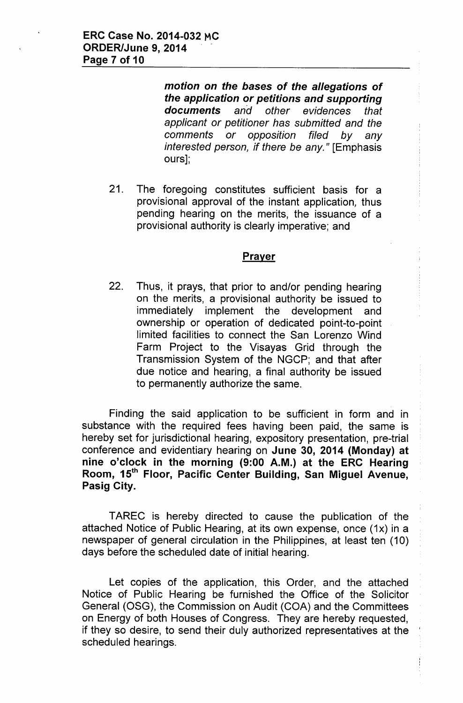*motion* on *the bases* of *the allegations* of *the application or petitions and supporting documents and other evidences that applicant or petitioner has submitted and the comments or opposition filed by any interested person, if there be any."* [Emphasis ours];

21. The foregoing constitutes sufficient basis for a provisional approval of the instant application, thus pending hearing on the merits, the issuance of a provisional authority is clearly imperative; and

### **Prayer**

22. Thus, it prays, that prior to and/or pending hearing on the merits, a provisional authority be issued to immediately implement the development and ownership or operation of dedicated point-to-point limited facilities to connect the San Lorenzo Wind Farm Project to the Visayas Grid through the Transmission System of the NGCP; and that after due notice and hearing, a final authority be issued to permanently authorize the same.

Finding the said application to be sufficient in form and in substance with the required fees having been paid, the same is hereby set for jurisdictional hearing, expository presentation, pre-trial conference and evidentiary hearing on June 30, 2014 (Monday) at nine o'clock in the morning (9:00 A.M.) at the ERC Hearing Room, 15<sup>th</sup> Floor, Pacific Center Building, San Miguel Avenue, Pasig City.

TAREC is hereby directed to cause the publication of the attached Notice of Public Hearing, at its own expense, once (1x) in a newspaper of general circulation in the Philippines, at least ten (10) days before the scheduled date of initial hearing.

Let copies of the application, this Order, and the attached Notice of Public Hearing be furnished the Office of the Solicitor General (OSG), the Commission on Audit (COA) and the Committees on Energy of both Houses of Congress. They are hereby requested, if they so desire, to send their duly authorized representatives at the ' scheduled hearings.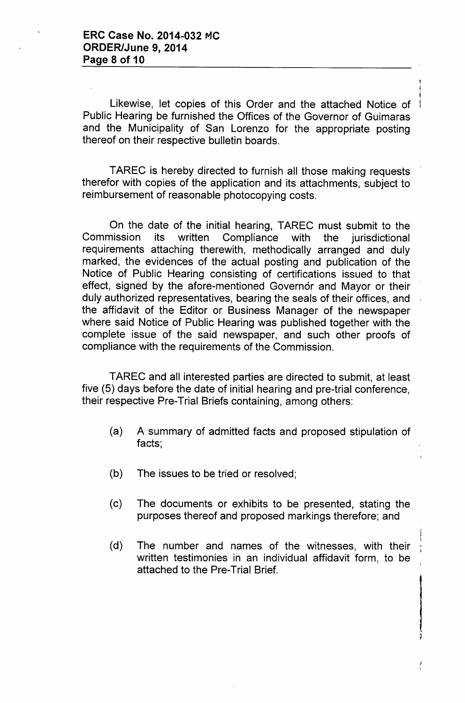Likewise, let copies of this Order and the attached Notice of Public Hearing be furnished the Offices of the Governor of Guimaras and the Municipality of San Lorenzo for the appropriate posting thereof on their respective bulletin boards.

TAREC is hereby directed to furnish all those making requests therefor with copies of the application and its attachments, subject to reimbursement of reasonable photocopying costs.

On the date of the initial hearing, TAREC must submit to the Commission its written Compliance with the jurisdictional requirements attaching therewith, methodically arranged and duly marked, the evidences of the actual posting and publication of the Notice of Public Hearing consisting of certifications issued to that effect, signed by the afore-mentioned Governor and Mayor or their duly authorized representatives, bearing the seals of their offices, and the affidavit of the Editor or Business Manager of the newspaper where said Notice of Public Hearing was published together with the complete issue of the said newspaper, and such other proofs of compliance with the requirements of the Commission.

TAREC and all interested parties" are directed to submit, at least five (5) days before the date of initial hearing and pre-trial conference, their respective Pre-Trial Briefs containing, among others:

- (a) A summary of admitted facts and proposed stipulation of facts;
- (b) The issues to be tried or resolved;
- (c) The documents or exhibits to be presented, stating the purposes thereof and proposed markings therefore; and
- (d) The number and names of the witnesses, with their written testimonies in an individual affidavit form, to be attached to the Pre-Trial Brief.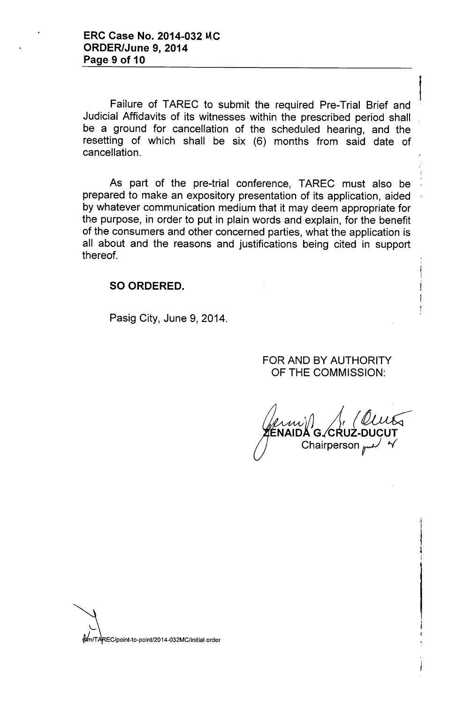Failure of TAREC to submit the required Pre-Trial Brief and Judicial Affidavits of its witnesses within the prescribed period shall be a ground for cancellation of the scheduled hearing, and the resetting of which shall be six (6) months from said date of cancellation.

As part of the pre-trial conference, TAREC must also be prepared to make an expository presentation of its application, aided ' by whatever communication medium that it may deem appropriate for the purpose, in order to put in plain words and explain, for the benefit of the consumers and other concerned parties, what the application is all about and the reasons and justifications being cited in support thereof.

### SO ORDERED.

Pasig City, June 9, 2014.

FOR AND BY AUTHORITY OF THE COMMISSION:

*,');} J (~* ENAIDA'G. CRUZ-DUCUT Chairperson  $r$ 

~~ ~EC/Point-to-poinu2o 14-032MC/initial order